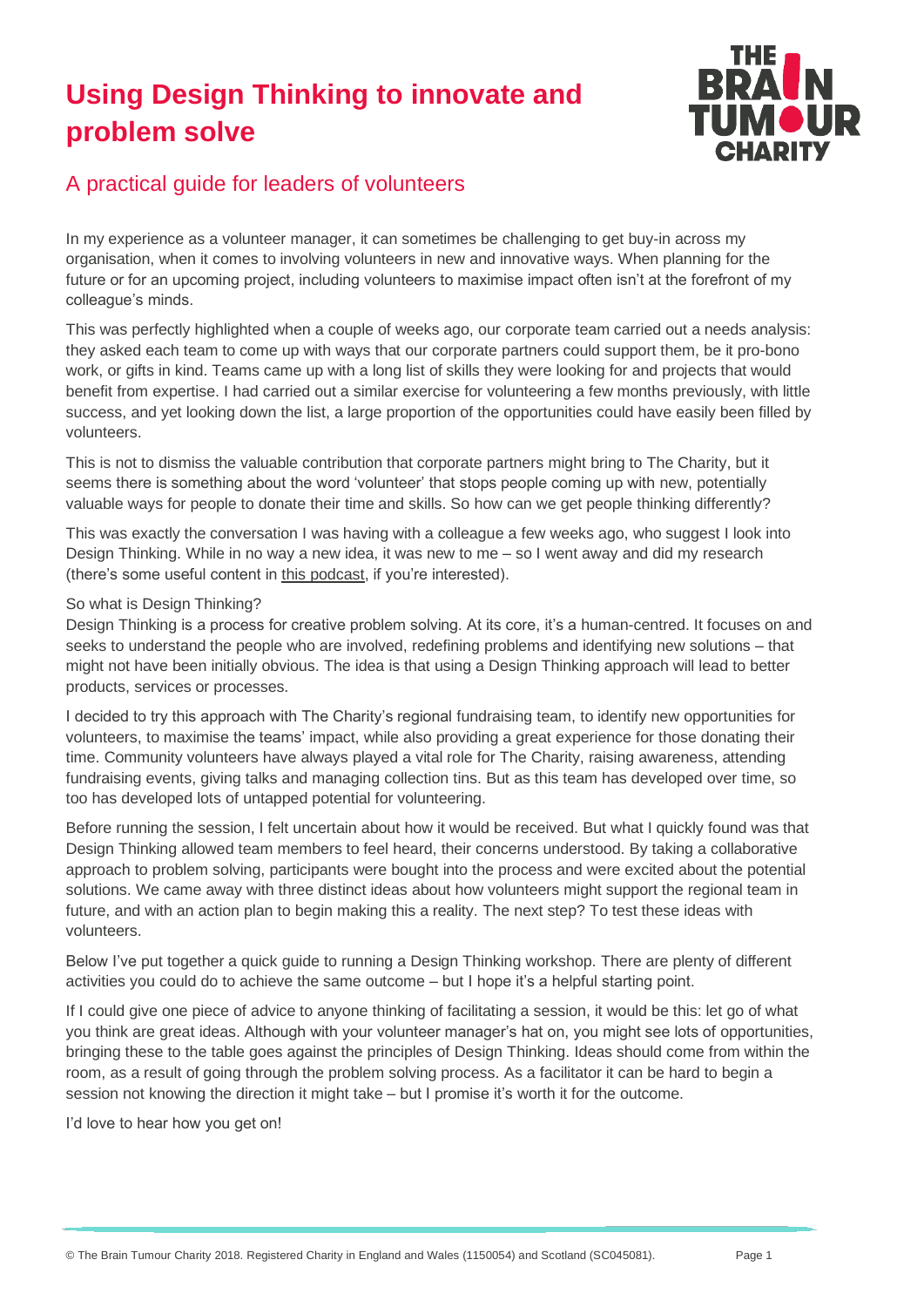# **Using Design Thinking to innovate and problem solve**



## A practical guide for leaders of volunteers

In my experience as a volunteer manager, it can sometimes be challenging to get buy-in across my organisation, when it comes to involving volunteers in new and innovative ways. When planning for the future or for an upcoming project, including volunteers to maximise impact often isn't at the forefront of my colleague's minds.

This was perfectly highlighted when a couple of weeks ago, our corporate team carried out a needs analysis: they asked each team to come up with ways that our corporate partners could support them, be it pro-bono work, or gifts in kind. Teams came up with a long list of skills they were looking for and projects that would benefit from expertise. I had carried out a similar exercise for volunteering a few months previously, with little success, and yet looking down the list, a large proportion of the opportunities could have easily been filled by volunteers.

This is not to dismiss the valuable contribution that corporate partners might bring to The Charity, but it seems there is something about the word 'volunteer' that stops people coming up with new, potentially valuable ways for people to donate their time and skills. So how can we get people thinking differently?

This was exactly the conversation I was having with a colleague a few weeks ago, who suggest I look into Design Thinking. While in no way a new idea, it was new to me – so I went away and did my research (there's some useful content in [this podcast,](https://www.15five.com/blog/podcast-design-thinking-in-hr/) if you're interested).

#### So what is Design Thinking?

Design Thinking is a process for creative problem solving. At its core, it's a human-centred. It focuses on and seeks to understand the people who are involved, redefining problems and identifying new solutions – that might not have been initially obvious. The idea is that using a Design Thinking approach will lead to better products, services or processes.

I decided to try this approach with The Charity's regional fundraising team, to identify new opportunities for volunteers, to maximise the teams' impact, while also providing a great experience for those donating their time. Community volunteers have always played a vital role for The Charity, raising awareness, attending fundraising events, giving talks and managing collection tins. But as this team has developed over time, so too has developed lots of untapped potential for volunteering.

Before running the session, I felt uncertain about how it would be received. But what I quickly found was that Design Thinking allowed team members to feel heard, their concerns understood. By taking a collaborative approach to problem solving, participants were bought into the process and were excited about the potential solutions. We came away with three distinct ideas about how volunteers might support the regional team in future, and with an action plan to begin making this a reality. The next step? To test these ideas with volunteers.

Below I've put together a quick guide to running a Design Thinking workshop. There are plenty of different activities you could do to achieve the same outcome – but I hope it's a helpful starting point.

If I could give one piece of advice to anyone thinking of facilitating a session, it would be this: let go of what you think are great ideas. Although with your volunteer manager's hat on, you might see lots of opportunities, bringing these to the table goes against the principles of Design Thinking. Ideas should come from within the room, as a result of going through the problem solving process. As a facilitator it can be hard to begin a session not knowing the direction it might take – but I promise it's worth it for the outcome.

I'd love to hear how you get on!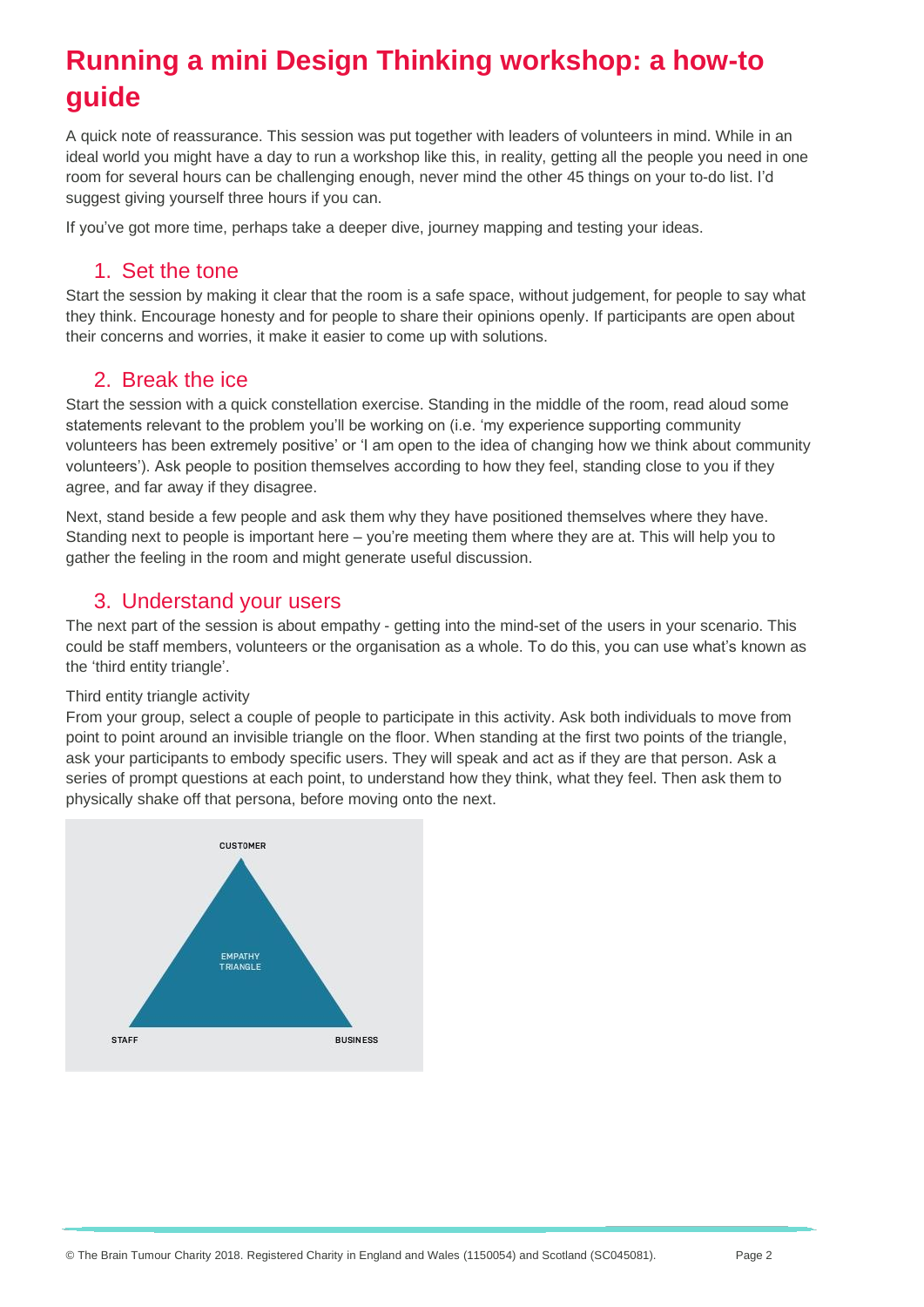# **Running a mini Design Thinking workshop: a how-to guide**

A quick note of reassurance. This session was put together with leaders of volunteers in mind. While in an ideal world you might have a day to run a workshop like this, in reality, getting all the people you need in one room for several hours can be challenging enough, never mind the other 45 things on your to-do list. I'd suggest giving yourself three hours if you can.

If you've got more time, perhaps take a deeper dive, journey mapping and testing your ideas.

#### 1. Set the tone

Start the session by making it clear that the room is a safe space, without judgement, for people to say what they think. Encourage honesty and for people to share their opinions openly. If participants are open about their concerns and worries, it make it easier to come up with solutions.

### 2. Break the ice

Start the session with a quick constellation exercise. Standing in the middle of the room, read aloud some statements relevant to the problem you'll be working on (i.e. 'my experience supporting community volunteers has been extremely positive' or 'I am open to the idea of changing how we think about community volunteers'). Ask people to position themselves according to how they feel, standing close to you if they agree, and far away if they disagree.

Next, stand beside a few people and ask them why they have positioned themselves where they have. Standing next to people is important here – you're meeting them where they are at. This will help you to gather the feeling in the room and might generate useful discussion.

### 3. Understand your users

The next part of the session is about empathy - getting into the mind-set of the users in your scenario. This could be staff members, volunteers or the organisation as a whole. To do this, you can use what's known as the 'third entity triangle'.

#### Third entity triangle activity

From your group, select a couple of people to participate in this activity. Ask both individuals to move from point to point around an invisible triangle on the floor. When standing at the first two points of the triangle, ask your participants to embody specific users. They will speak and act as if they are that person. Ask a series of prompt questions at each point, to understand how they think, what they feel. Then ask them to physically shake off that persona, before moving onto the next.

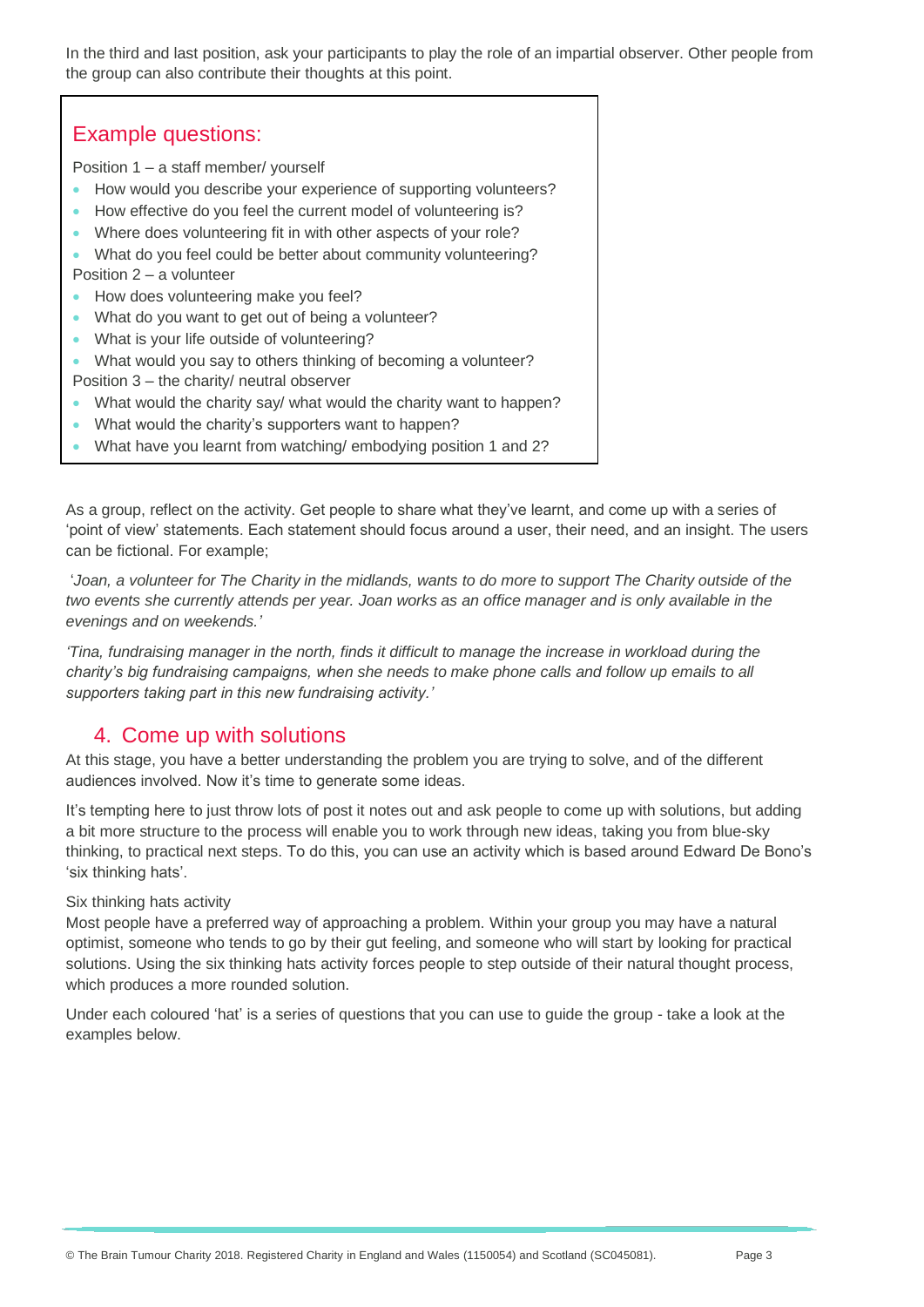In the third and last position, ask your participants to play the role of an impartial observer. Other people from the group can also contribute their thoughts at this point.

#### Example questions: Position 1 – a staff member/ yourself • How would you describe your experience of supporting volunteers? • How effective do you feel the current model of volunteering is? • Where does volunteering fit in with other aspects of your role? • What do you feel could be better about community volunteering? Position 2 – a volunteer • How does volunteering make you feel? • What do you want to get out of being a volunteer? • What is your life outside of volunteering? • What would you say to others thinking of becoming a volunteer? Position 3 – the charity/ neutral observer • What would the charity say/ what would the charity want to happen? • What would the charity's supporters want to happen?

• What have you learnt from watching/ embodying position 1 and 2?

As a group, reflect on the activity. Get people to share what they've learnt, and come up with a series of 'point of view' statements. Each statement should focus around a user, their need, and an insight. The users can be fictional. For example;

'*Joan, a volunteer for The Charity in the midlands, wants to do more to support The Charity outside of the two events she currently attends per year. Joan works as an office manager and is only available in the evenings and on weekends.'*

*'Tina, fundraising manager in the north, finds it difficult to manage the increase in workload during the charity's big fundraising campaigns, when she needs to make phone calls and follow up emails to all supporters taking part in this new fundraising activity.'*

### 4. Come up with solutions

At this stage, you have a better understanding the problem you are trying to solve, and of the different audiences involved. Now it's time to generate some ideas.

It's tempting here to just throw lots of post it notes out and ask people to come up with solutions, but adding a bit more structure to the process will enable you to work through new ideas, taking you from blue-sky thinking, to practical next steps. To do this, you can use an activity which is based around Edward De Bono's 'six thinking hats'.

Six thinking hats activity

Most people have a preferred way of approaching a problem. Within your group you may have a natural optimist, someone who tends to go by their gut feeling, and someone who will start by looking for practical solutions. Using the six thinking hats activity forces people to step outside of their natural thought process, which produces a more rounded solution.

Under each coloured 'hat' is a series of questions that you can use to guide the group - take a look at the examples below.